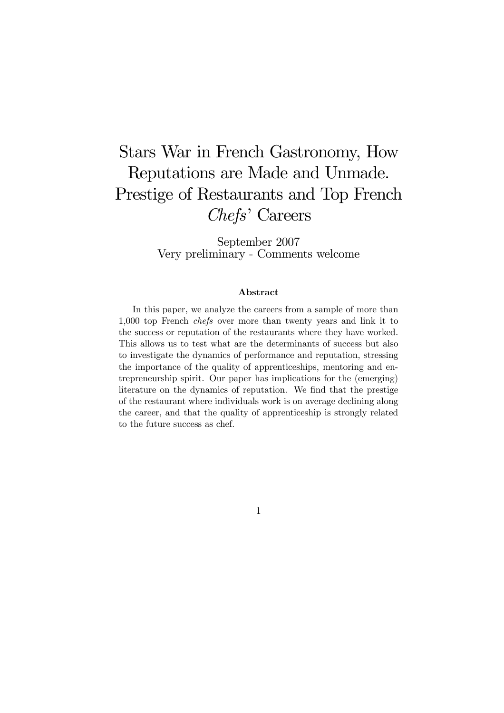# Stars War in French Gastronomy, How Reputations are Made and Unmade. Prestige of Restaurants and Top French Chefs' Careers

September 2007 Very preliminary - Comments welcome

#### Abstract

In this paper, we analyze the careers from a sample of more than 1,000 top French chefs over more than twenty years and link it to the success or reputation of the restaurants where they have worked. This allows us to test what are the determinants of success but also to investigate the dynamics of performance and reputation, stressing the importance of the quality of apprenticeships, mentoring and entrepreneurship spirit. Our paper has implications for the (emerging) literature on the dynamics of reputation. We find that the prestige of the restaurant where individuals work is on average declining along the career, and that the quality of apprenticeship is strongly related to the future success as chef.

1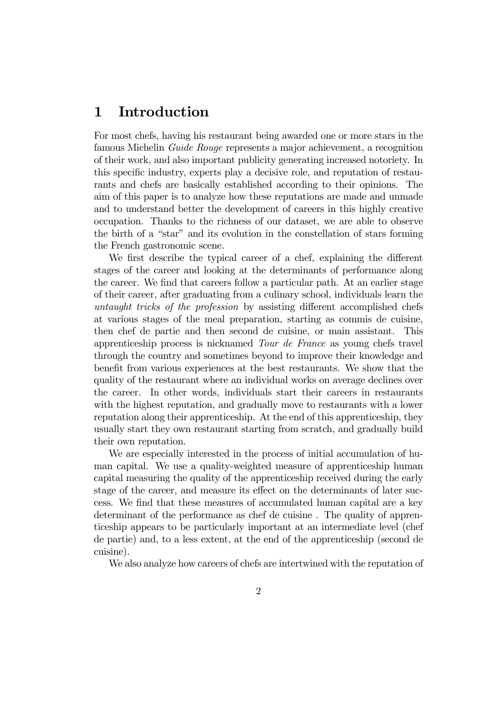## 1 Introduction

For most chefs, having his restaurant being awarded one or more stars in the famous Michelin Guide Rouge represents a major achievement, a recognition of their work, and also important publicity generating increased notoriety. In this specific industry, experts play a decisive role, and reputation of restaurants and chefs are basically established according to their opinions. The aim of this paper is to analyze how these reputations are made and unmade and to understand better the development of careers in this highly creative occupation. Thanks to the richness of our dataset, we are able to observe the birth of a "star" and its evolution in the constellation of stars forming the French gastronomic scene.

We first describe the typical career of a chef, explaining the different stages of the career and looking at the determinants of performance along the career. We find that careers follow a particular path. At an earlier stage of their career, after graduating from a culinary school, individuals learn the untaught tricks of the profession by assisting different accomplished chefs at various stages of the meal preparation, starting as commis de cuisine, then chef de partie and then second de cuisine, or main assistant. This apprenticeship process is nicknamed Tour de France as young chefs travel through the country and sometimes beyond to improve their knowledge and benefit from various experiences at the best restaurants. We show that the quality of the restaurant where an individual works on average declines over the career. In other words, individuals start their careers in restaurants with the highest reputation, and gradually move to restaurants with a lower reputation along their apprenticeship. At the end of this apprenticeship, they usually start they own restaurant starting from scratch, and gradually build their own reputation.

We are especially interested in the process of initial accumulation of human capital. We use a quality-weighted measure of apprenticeship human capital measuring the quality of the apprenticeship received during the early stage of the career, and measure its effect on the determinants of later success. We find that these measures of accumulated human capital are a key determinant of the performance as chef de cuisine . The quality of apprenticeship appears to be particularly important at an intermediate level (chef de partie) and, to a less extent, at the end of the apprenticeship (second de cuisine).

We also analyze how careers of chefs are intertwined with the reputation of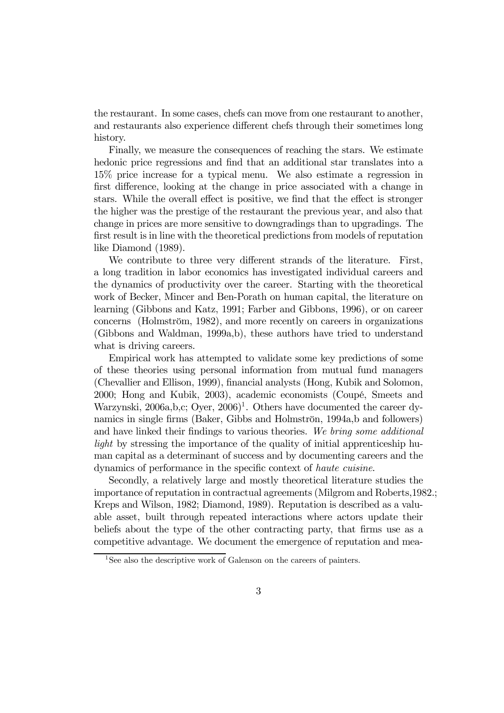the restaurant. In some cases, chefs can move from one restaurant to another, and restaurants also experience different chefs through their sometimes long history.

Finally, we measure the consequences of reaching the stars. We estimate hedonic price regressions and find that an additional star translates into a 15% price increase for a typical menu. We also estimate a regression in first difference, looking at the change in price associated with a change in stars. While the overall effect is positive, we find that the effect is stronger the higher was the prestige of the restaurant the previous year, and also that change in prices are more sensitive to downgradings than to upgradings. The first result is in line with the theoretical predictions from models of reputation like Diamond (1989).

We contribute to three very different strands of the literature. First, a long tradition in labor economics has investigated individual careers and the dynamics of productivity over the career. Starting with the theoretical work of Becker, Mincer and Ben-Porath on human capital, the literature on learning (Gibbons and Katz, 1991; Farber and Gibbons, 1996), or on career concerns (Holmström, 1982), and more recently on careers in organizations (Gibbons and Waldman, 1999a,b), these authors have tried to understand what is driving careers.

Empirical work has attempted to validate some key predictions of some of these theories using personal information from mutual fund managers (Chevallier and Ellison, 1999), financial analysts (Hong, Kubik and Solomon, 2000; Hong and Kubik, 2003), academic economists (Coupé, Smeets and Warzynski, 2006a,b,c; Oyer,  $2006$ <sup>1</sup>. Others have documented the career dynamics in single firms (Baker, Gibbs and Holmströn, 1994a,b and followers) and have linked their findings to various theories. We bring some additional light by stressing the importance of the quality of initial apprenticeship human capital as a determinant of success and by documenting careers and the dynamics of performance in the specific context of haute cuisine.

Secondly, a relatively large and mostly theoretical literature studies the importance of reputation in contractual agreements (Milgrom and Roberts,1982.; Kreps and Wilson, 1982; Diamond, 1989). Reputation is described as a valuable asset, built through repeated interactions where actors update their beliefs about the type of the other contracting party, that firms use as a competitive advantage. We document the emergence of reputation and mea-

<sup>&</sup>lt;sup>1</sup>See also the descriptive work of Galenson on the careers of painters.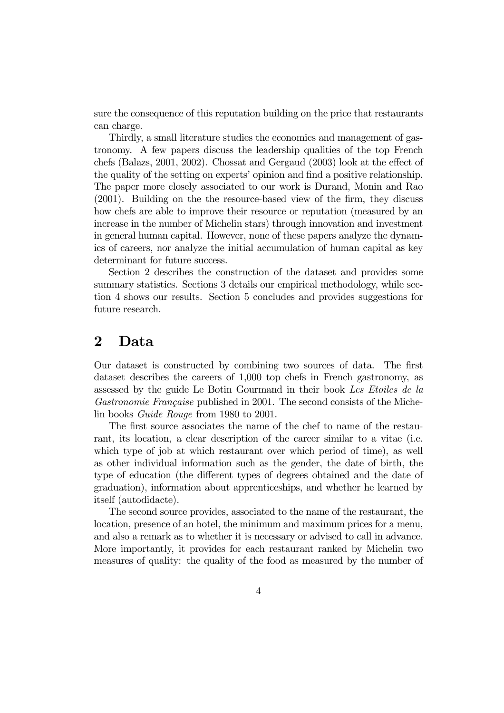sure the consequence of this reputation building on the price that restaurants can charge.

Thirdly, a small literature studies the economics and management of gastronomy. A few papers discuss the leadership qualities of the top French chefs (Balazs, 2001, 2002). Chossat and Gergaud (2003) look at the effect of the quality of the setting on experts' opinion and find a positive relationship. The paper more closely associated to our work is Durand, Monin and Rao (2001). Building on the the resource-based view of the firm, they discuss how chefs are able to improve their resource or reputation (measured by an increase in the number of Michelin stars) through innovation and investment in general human capital. However, none of these papers analyze the dynamics of careers, nor analyze the initial accumulation of human capital as key determinant for future success.

Section 2 describes the construction of the dataset and provides some summary statistics. Sections 3 details our empirical methodology, while section 4 shows our results. Section 5 concludes and provides suggestions for future research.

## 2 Data

Our dataset is constructed by combining two sources of data. The first dataset describes the careers of 1,000 top chefs in French gastronomy, as assessed by the guide Le Botin Gourmand in their book Les Etoiles de la Gastronomie Française published in 2001. The second consists of the Michelin books Guide Rouge from 1980 to 2001.

The first source associates the name of the chef to name of the restaurant, its location, a clear description of the career similar to a vitae (i.e. which type of job at which restaurant over which period of time), as well as other individual information such as the gender, the date of birth, the type of education (the different types of degrees obtained and the date of graduation), information about apprenticeships, and whether he learned by itself (autodidacte).

The second source provides, associated to the name of the restaurant, the location, presence of an hotel, the minimum and maximum prices for a menu, and also a remark as to whether it is necessary or advised to call in advance. More importantly, it provides for each restaurant ranked by Michelin two measures of quality: the quality of the food as measured by the number of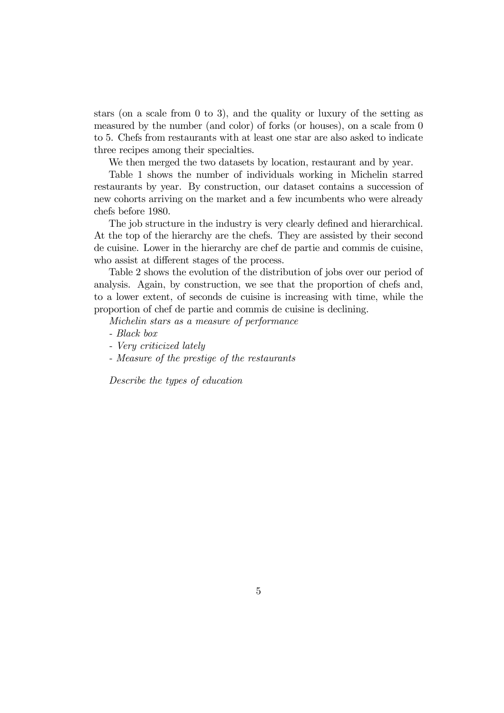stars (on a scale from 0 to 3), and the quality or luxury of the setting as measured by the number (and color) of forks (or houses), on a scale from 0 to 5. Chefs from restaurants with at least one star are also asked to indicate three recipes among their specialties.

We then merged the two datasets by location, restaurant and by year.

Table 1 shows the number of individuals working in Michelin starred restaurants by year. By construction, our dataset contains a succession of new cohorts arriving on the market and a few incumbents who were already chefs before 1980.

The job structure in the industry is very clearly defined and hierarchical. At the top of the hierarchy are the chefs. They are assisted by their second de cuisine. Lower in the hierarchy are chef de partie and commis de cuisine, who assist at different stages of the process.

Table 2 shows the evolution of the distribution of jobs over our period of analysis. Again, by construction, we see that the proportion of chefs and, to a lower extent, of seconds de cuisine is increasing with time, while the proportion of chef de partie and commis de cuisine is declining.

Michelin stars as a measure of performance

- Black box
- Very criticized lately
- Measure of the prestige of the restaurants

Describe the types of education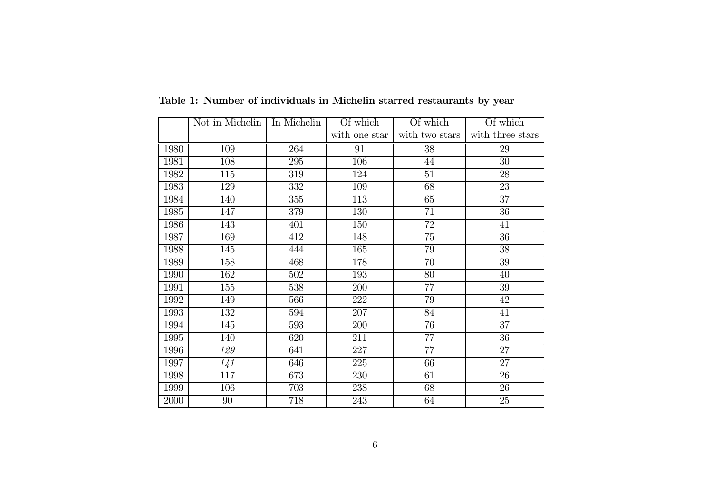|      | Not in Michelin   In Michelin |     | Of which      | Of which       | Of which         |
|------|-------------------------------|-----|---------------|----------------|------------------|
|      |                               |     | with one star | with two stars | with three stars |
| 1980 | 109                           | 264 | 91            | 38             | 29               |
| 1981 | 108                           | 295 | 106           | 44             | 30               |
| 1982 | 115                           | 319 | 124           | 51             | 28               |
| 1983 | 129                           | 332 | 109           | 68             | 23               |
| 1984 | 140                           | 355 | 113           | 65             | 37               |
| 1985 | 147                           | 379 | 130           | 71             | 36               |
| 1986 | 143                           | 401 | 150           | 72             | 41               |
| 1987 | 169                           | 412 | 148           | 75             | 36               |
| 1988 | 145                           | 444 | 165           | 79             | 38               |
| 1989 | 158                           | 468 | 178           | 70             | 39               |
| 1990 | 162                           | 502 | 193           | 80             | 40               |
| 1991 | 155                           | 538 | 200           | 77             | 39               |
| 1992 | 149                           | 566 | 222           | 79             | 42               |
| 1993 | 132                           | 594 | 207           | 84             | 41               |
| 1994 | 145                           | 593 | 200           | 76             | 37               |
| 1995 | 140                           | 620 | 211           | 77             | 36               |
| 1996 | 129                           | 641 | 227           | 77             | 27               |
| 1997 | 1/41                          | 646 | 225           | 66             | 27               |
| 1998 | 117                           | 673 | 230           | 61             | 26               |
| 1999 | 106                           | 703 | 238           | 68             | 26               |
| 2000 | 90                            | 718 | 243           | 64             | 25               |

Table 1: Number of individuals in Michelin starred restaurants by year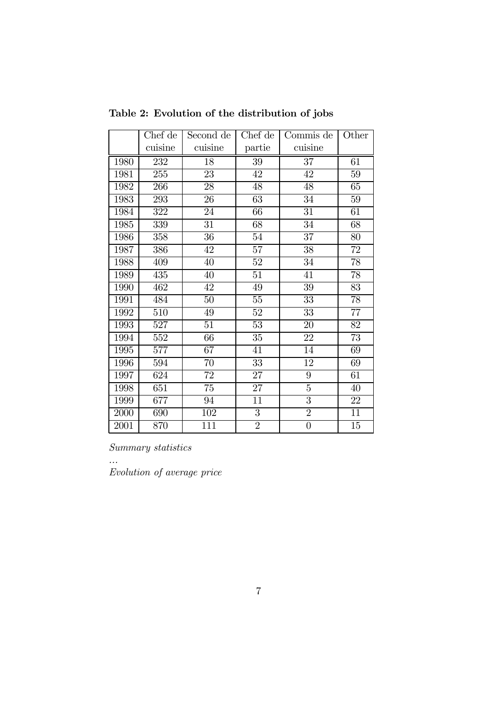|      | Chef de | Second de | Chef de         | Commis de        | Other           |
|------|---------|-----------|-----------------|------------------|-----------------|
|      | cuisine | cuisine   | partie          | cuisine          |                 |
| 1980 | 232     | 18        | 39              | 37               | 61              |
| 1981 | 255     | 23        | 42              | 42               | 59              |
| 1982 | 266     | 28        | 48              | 48               | 65              |
| 1983 | 293     | 26        | 63              | 34               | 59              |
| 1984 | 322     | 24        | 66              | 31               | 61              |
| 1985 | 339     | 31        | 68              | 34               | 68              |
| 1986 | 358     | 36        | $54\,$          | 37               | 80              |
| 1987 | 386     | 42        | $57\,$          | 38               | 72              |
| 1988 | 409     | 40        | 52              | 34               | $\overline{78}$ |
| 1989 | 435     | 40        | $\overline{51}$ | 41               | $\overline{78}$ |
| 1990 | 462     | 42        | 49              | 39               | 83              |
| 1991 | 484     | 50        | $55\,$          | $\overline{33}$  | 78              |
| 1992 | 510     | 49        | 52              | 33               | 77              |
| 1993 | 527     | 51        | 53              | 20               | 82              |
| 1994 | 552     | 66        | 35              | 22               | 73              |
| 1995 | 577     | 67        | 41              | 14               | 69              |
| 1996 | 594     | 70        | 33              | 12               | 69              |
| 1997 | 624     | 72        | 27              | $9\phantom{.0}$  | 61              |
| 1998 | 651     | 75        | 27              | $\overline{5}$   | 40              |
| 1999 | 677     | 94        | 11              | $\overline{3}$   | 22              |
| 2000 | 690     | 102       | 3               | $\overline{2}$   | 11              |
| 2001 | 870     | 111       | $\overline{2}$  | $\boldsymbol{0}$ | 15              |

Table 2: Evolution of the distribution of jobs

Summary statistics

...

Evolution of average price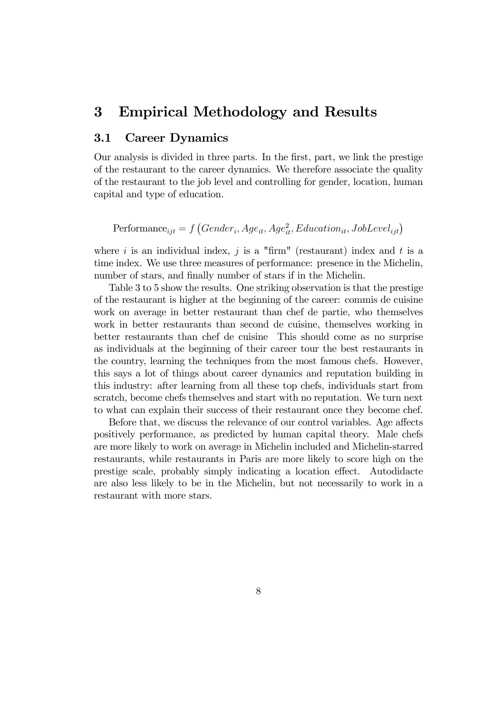## 3 Empirical Methodology and Results

### 3.1 Career Dynamics

Our analysis is divided in three parts. In the first, part, we link the prestige of the restaurant to the career dynamics. We therefore associate the quality of the restaurant to the job level and controlling for gender, location, human capital and type of education.

Performance<sub>ijt</sub> =  $f(Gender_i, Age_{it}, Age_{it}^2, Education_{it}, JobLevel_{ijt})$ 

where i is an individual index, j is a "firm" (restaurant) index and t is a time index. We use three measures of performance: presence in the Michelin, number of stars, and finally number of stars if in the Michelin.

Table 3 to 5 show the results. One striking observation is that the prestige of the restaurant is higher at the beginning of the career: commis de cuisine work on average in better restaurant than chef de partie, who themselves work in better restaurants than second de cuisine, themselves working in better restaurants than chef de cuisine This should come as no surprise as individuals at the beginning of their career tour the best restaurants in the country, learning the techniques from the most famous chefs. However, this says a lot of things about career dynamics and reputation building in this industry: after learning from all these top chefs, individuals start from scratch, become chefs themselves and start with no reputation. We turn next to what can explain their success of their restaurant once they become chef.

Before that, we discuss the relevance of our control variables. Age affects positively performance, as predicted by human capital theory. Male chefs are more likely to work on average in Michelin included and Michelin-starred restaurants, while restaurants in Paris are more likely to score high on the prestige scale, probably simply indicating a location effect. Autodidacte are also less likely to be in the Michelin, but not necessarily to work in a restaurant with more stars.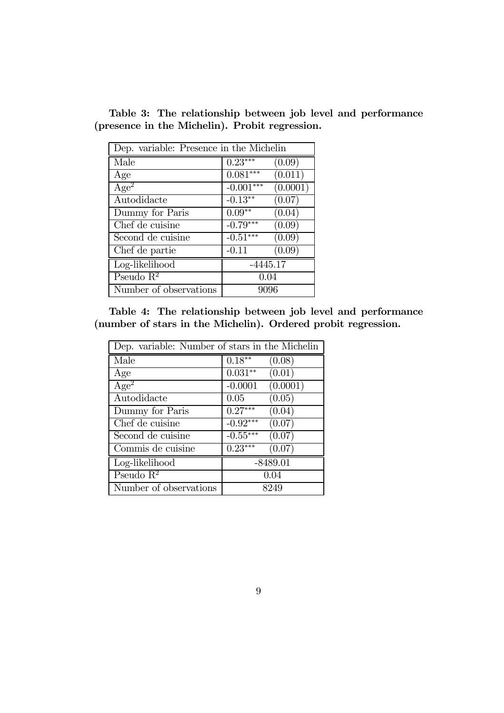|  | Table 3: The relationship between job level and performance |  |  |
|--|-------------------------------------------------------------|--|--|
|  | (presence in the Michelin). Probit regression.              |  |  |

| Dep. variable: Presence in the Michelin |             |                       |  |  |
|-----------------------------------------|-------------|-----------------------|--|--|
| Male                                    | $0.23***$   | (0.09)                |  |  |
| Age                                     | $0.081***$  | (0.011)               |  |  |
| Age <sup>2</sup>                        | $-0.001***$ | $\overline{(0.0001)}$ |  |  |
| Autodidacte                             | $-0.13**$   | (0.07)                |  |  |
| Dummy for Paris                         | $0.09**$    | (0.04)                |  |  |
| Chef de cuisine                         | $-0.79***$  | (0.09)                |  |  |
| Second de cuisine                       | $-0.51***$  | (0.09)                |  |  |
| Chef de partie                          | $-0.11$     | (0.09)                |  |  |
| Log-likelihood                          | $-4445.17$  |                       |  |  |
| Pseudo $\mathbb{R}^2$                   | 0.04        |                       |  |  |
| Number of observations                  | 9096        |                       |  |  |

Table 4: The relationship between job level and performance (number of stars in the Michelin). Ordered probit regression.

| Dep. variable: Number of stars in the Michelin |                                    |
|------------------------------------------------|------------------------------------|
| Male                                           | $0.18***$<br>(0.08)                |
| Age                                            | $0.031**$<br>(0.01)                |
| $Age^2$                                        | $\overline{(0.0001)}$<br>$-0.0001$ |
| Autodidacte                                    | (0.05)<br>0.05                     |
| Dummy for Paris                                | $0.27***$<br>(0.04)                |
| Chef de cuisine                                | $-0.92***$<br>(0.07)               |
| Second de cuisine                              | $-0.55***$<br>(0.07)               |
| Commis de cuisine                              | $0.23***$<br>(0.07)                |
| Log-likelihood                                 | $-8489.01$                         |
| Pseudo $\mathbb{R}^2$                          | 0.04                               |
| Number of observations                         | 8249                               |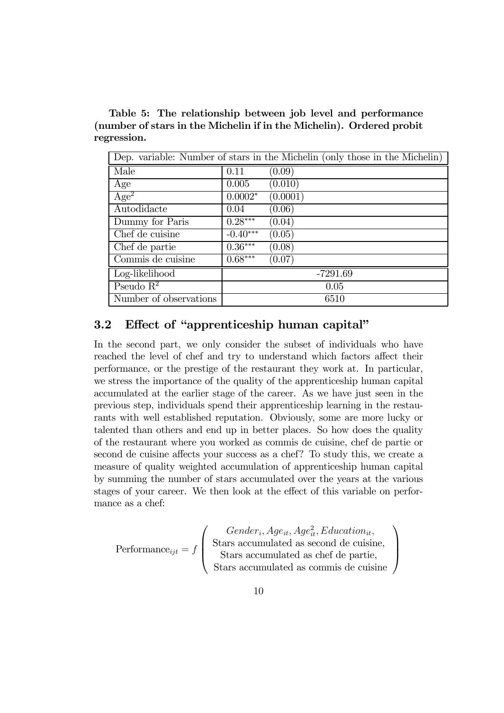Table 5: The relationship between job level and performance (number of stars in the Michelin if in the Michelin). Ordered probit regression.

| Dep. variable: Number of stars in the Michelin (only those in the Michelin) |            |            |  |  |
|-----------------------------------------------------------------------------|------------|------------|--|--|
| Male                                                                        | 0.11       | (0.09)     |  |  |
| Age                                                                         | 0.005      | (0.010)    |  |  |
| Age <sup>2</sup>                                                            | $0.0002*$  | (0.0001)   |  |  |
| Autodidacte                                                                 | 0.04       | (0.06)     |  |  |
| Dummy for Paris                                                             | $0.28***$  | (0.04)     |  |  |
| Chef de cuisine                                                             | $-0.40***$ | (0.05)     |  |  |
| Chef de partie                                                              | $0.36***$  | (0.08)     |  |  |
| Commis de cuisine                                                           | $0.68***$  | (0.07)     |  |  |
| Log-likelihood                                                              |            | $-7291.69$ |  |  |
| Pseudo $R^2$                                                                |            | 0.05       |  |  |
| Number of observations                                                      |            | 6510       |  |  |

## 3.2 Effect of "apprenticeship human capital"

In the second part, we only consider the subset of individuals who have reached the level of chef and try to understand which factors affect their performance, or the prestige of the restaurant they work at. In particular, we stress the importance of the quality of the apprenticeship human capital accumulated at the earlier stage of the career. As we have just seen in the previous step, individuals spend their apprenticeship learning in the restaurants with well established reputation. Obviously, some are more lucky or talented than others and end up in better places. So how does the quality of the restaurant where you worked as commis de cuisine, chef de partie or second de cuisine affects your success as a chef? To study this, we create a measure of quality weighted accumulation of apprenticeship human capital by summing the number of stars accumulated over the years at the various stages of your career. We then look at the effect of this variable on performance as a chef:

$$
Performance_{ijt} = f \left( \begin{array}{c} Gender_i, Age_{it}, Age_{it}^2, Education_{it}, \\ \text{Stars accumulated as second de cuisine,} \\ \text{Stars accumulated as chef de partie,} \\ \text{Stars accumulated as commits de cuisine} \end{array} \right)
$$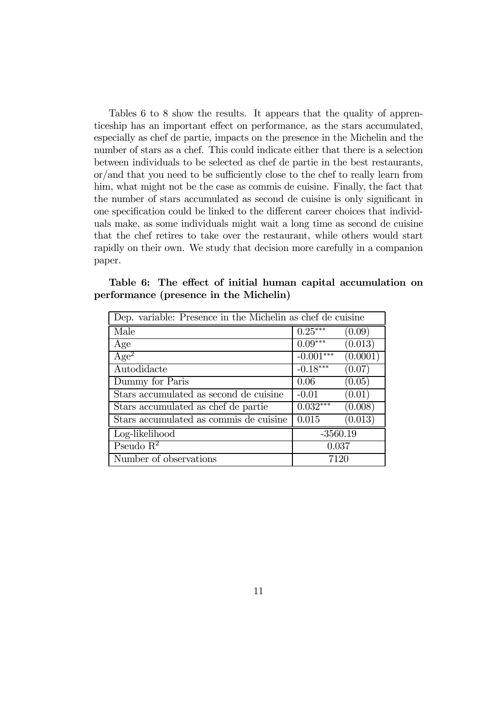Tables 6 to 8 show the results. It appears that the quality of apprenticeship has an important effect on performance, as the stars accumulated, especially as chef de partie, impacts on the presence in the Michelin and the number of stars as a chef. This could indicate either that there is a selection between individuals to be selected as chef de partie in the best restaurants, or/and that you need to be sufficiently close to the chef to really learn from him, what might not be the case as commis de cuisine. Finally, the fact that the number of stars accumulated as second de cuisine is only significant in one specification could be linked to the different career choices that individuals make, as some individuals might wait a long time as second de cuisine that the chef retires to take over the restaurant, while others would start rapidly on their own. We study that decision more carefully in a companion paper.

| Dep. variable: Presence in the Michelin as chef de cuisine |             |          |  |  |
|------------------------------------------------------------|-------------|----------|--|--|
| Male                                                       | $0.25***$   | (0.09)   |  |  |
| Age                                                        | $0.09***$   | (0.013)  |  |  |
| $\overline{\rm Age^2}$                                     | $-0.001***$ | (0.0001) |  |  |
| Autodidacte                                                | $-0.18***$  | (0.07)   |  |  |
| Dummy for Paris                                            | 0.06        | (0.05)   |  |  |
| Stars accumulated as second de cuisine                     | $-0.01$     | (0.01)   |  |  |
| Stars accumulated as chef de partie                        | $0.032***$  | (0.008)  |  |  |
| Stars accumulated as commis de cuisine                     | 0.015       | (0.013)  |  |  |
| Log-likelihood                                             | $-3560.19$  |          |  |  |
| Pseudo $\mathbb{R}^2$                                      | 0.037       |          |  |  |
| Number of observations                                     | 7120        |          |  |  |

|                                        |  |  | Table 6: The effect of initial human capital accumulation on |  |
|----------------------------------------|--|--|--------------------------------------------------------------|--|
| performance (presence in the Michelin) |  |  |                                                              |  |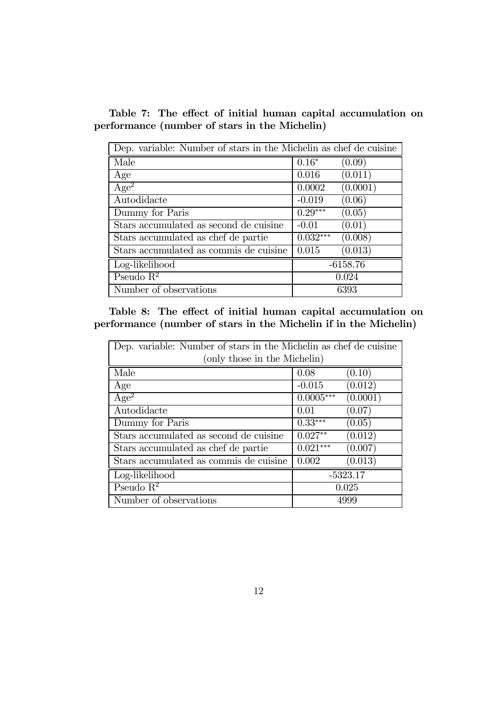Table 7: The effect of initial human capital accumulation on performance (number of stars in the Michelin)

| Dep. variable: Number of stars in the Michelin as chef de cuisine |            |            |  |  |
|-------------------------------------------------------------------|------------|------------|--|--|
| Male                                                              | $0.16*$    | (0.09)     |  |  |
| Age                                                               | 0.016      | (0.011)    |  |  |
| $Age^2$                                                           | 0.0002     | (0.0001)   |  |  |
| Autodidacte                                                       | $-0.019$   | (0.06)     |  |  |
| Dummy for Paris                                                   | $0.29***$  | (0.05)     |  |  |
| Stars accumulated as second de cuisine                            | $-0.01$    | (0.01)     |  |  |
| Stars accumulated as chef de partie                               | $0.032***$ | (0.008)    |  |  |
| Stars accumulated as commis de cuisine                            | 0.015      | (0.013)    |  |  |
| Log-likelihood                                                    |            | $-6158.76$ |  |  |
| Pseudo $\mathbb{R}^2$                                             |            | 0.024      |  |  |
| Number of observations                                            |            | 6393       |  |  |

Table 8: The effect of initial human capital accumulation on performance (number of stars in the Michelin if in the Michelin)

| Dep. variable: Number of stars in the Michelin as chef de cuisine |             |            |  |  |
|-------------------------------------------------------------------|-------------|------------|--|--|
| (only those in the Michelin)                                      |             |            |  |  |
| Male                                                              | 0.08        | (0.10)     |  |  |
| Age                                                               | $-0.015$    | (0.012)    |  |  |
| Age <sup>2</sup>                                                  | $0.0005***$ | (0.0001)   |  |  |
| Autodidacte                                                       | 0.01        | (0.07)     |  |  |
| Dummy for Paris                                                   | $0.33***$   | (0.05)     |  |  |
| Stars accumulated as second de cuisine                            | $0.027**$   | (0.012)    |  |  |
| Stars accumulated as chef de partie                               | $0.021***$  | (0.007)    |  |  |
| Stars accumulated as commis de cuisine                            | 0.002       | (0.013)    |  |  |
| Log-likelihood                                                    |             | $-5323.17$ |  |  |
| Pseudo $\mathbb{R}^2$                                             |             | 0.025      |  |  |
| Number of observations                                            |             | 4999       |  |  |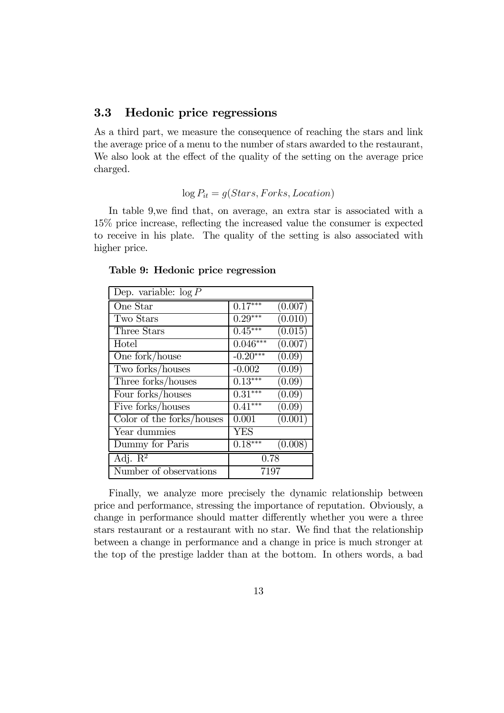## 3.3 Hedonic price regressions

As a third part, we measure the consequence of reaching the stars and link the average price of a menu to the number of stars awarded to the restaurant, We also look at the effect of the quality of the setting on the average price charged.

#### $log P_{it} = g(Stars, Forks, Location)$

In table 9,we find that, on average, an extra star is associated with a 15% price increase, reflecting the increased value the consumer is expected to receive in his plate. The quality of the setting is also associated with higher price.

| Dep. variable: $\log P$        |            |                      |  |  |
|--------------------------------|------------|----------------------|--|--|
| One Star                       | $0.17***$  | (0.007)              |  |  |
| Two Stars                      | $0.29***$  | (0.010)              |  |  |
| Three Stars                    | $0.45***$  | $\overline{(0.015)}$ |  |  |
| Hotel                          | $0.046***$ | (0.007)              |  |  |
| One fork/house                 | $-0.20***$ | (0.09)               |  |  |
| Two forks/houses               | $-0.002$   | (0.09)               |  |  |
| Three forks/houses             | $0.13***$  | (0.09)               |  |  |
| Four forks/houses              | $0.31***$  | (0.09)               |  |  |
| Five forks/houses              | $0.41***$  | (0.09)               |  |  |
| Color of the forks/houses      | 0.001      | (0.001)              |  |  |
| Year dummies                   | <b>YES</b> |                      |  |  |
| Dummy for Paris                | $0.18***$  | (0.008)              |  |  |
| Adj. $\overline{\mathrm{R}^2}$ | 0.78       |                      |  |  |
| Number of observations         | 7197       |                      |  |  |

Table 9: Hedonic price regression

Finally, we analyze more precisely the dynamic relationship between price and performance, stressing the importance of reputation. Obviously, a change in performance should matter differently whether you were a three stars restaurant or a restaurant with no star. We find that the relationship between a change in performance and a change in price is much stronger at the top of the prestige ladder than at the bottom. In others words, a bad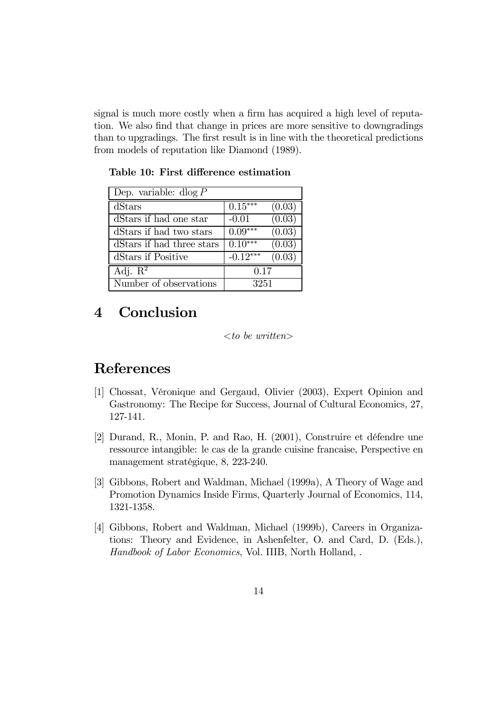signal is much more costly when a firm has acquired a high level of reputation. We also find that change in prices are more sensitive to downgradings than to upgradings. The first result is in line with the theoretical predictions from models of reputation like Diamond (1989).

Dep. variable: dlog P dStars  $\vert 0.15^{***} (0.03) \vert$ dStars if had one star  $\vert$  -0.01 (0.03) dStars if had two stars  $\Big| 0.09*** \Big| 0.03$ dStars if had three stars  $\vert 0.10^{***} \quad (0.03)$ dStars if Positive  $-0.12***$   $(0.03)$ Adj.  $R^2$  0.17 Number of observations 3251

Table 10: First difference estimation

# 4 Conclusion

#### $<$ to be written $>$

## References

- [1] Chossat, Véronique and Gergaud, Olivier (2003), Expert Opinion and Gastronomy: The Recipe for Success, Journal of Cultural Economics, 27, 127-141.
- [2] Durand, R., Monin, P. and Rao, H. (2001), Construire et défendre une ressource intangible: le cas de la grande cuisine francaise, Perspective en management stratégique, 8, 223-240.
- [3] Gibbons, Robert and Waldman, Michael (1999a), A Theory of Wage and Promotion Dynamics Inside Firms, Quarterly Journal of Economics, 114, 1321-1358.
- [4] Gibbons, Robert and Waldman, Michael (1999b), Careers in Organizations: Theory and Evidence, in Ashenfelter, O. and Card, D. (Eds.), Handbook of Labor Economics, Vol. IIIB, North Holland, .